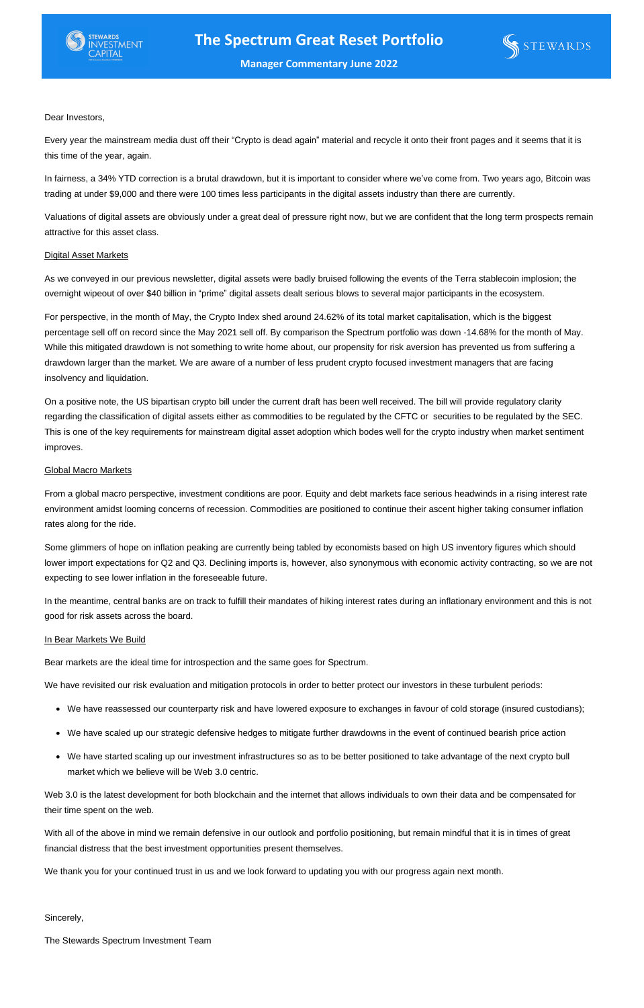Dear Investors,

Every year the mainstream media dust off their "Crypto is dead again" material and recycle it onto their front pages and it seems that it is this time of the year, again.

In fairness, a 34% YTD correction is a brutal drawdown, but it is important to consider where we've come from. Two years ago, Bitcoin was trading at under \$9,000 and there were 100 times less participants in the digital assets industry than there are currently.

Valuations of digital assets are obviously under a great deal of pressure right now, but we are confident that the long term prospects remain attractive for this asset class.

# **Digital Asset Markets**

As we conveyed in our previous newsletter, digital assets were badly bruised following the events of the Terra stablecoin implosion; the overnight wipeout of over \$40 billion in "prime" digital assets dealt serious blows to several major participants in the ecosystem.

For perspective, in the month of May, the Crypto Index shed around 24.62% of its total market capitalisation, which is the biggest percentage sell off on record since the May 2021 sell off. By comparison the Spectrum portfolio was down -14.68% for the month of May. While this mitigated drawdown is not something to write home about, our propensity for risk aversion has prevented us from suffering a drawdown larger than the market. We are aware of a number of less prudent crypto focused investment managers that are facing insolvency and liquidation.

On a positive note, the US bipartisan crypto bill under the current draft has been well received. The bill will provide regulatory clarity regarding the classification of digital assets either as commodities to be regulated by the CFTC or securities to be regulated by the SEC. This is one of the key requirements for mainstream digital asset adoption which bodes well for the crypto industry when market sentiment improves.

## Global Macro Markets

From a global macro perspective, investment conditions are poor. Equity and debt markets face serious headwinds in a rising interest rate environment amidst looming concerns of recession. Commodities are positioned to continue their ascent higher taking consumer inflation rates along for the ride.

Some glimmers of hope on inflation peaking are currently being tabled by economists based on high US inventory figures which should lower import expectations for Q2 and Q3. Declining imports is, however, also synonymous with economic activity contracting, so we are not

expecting to see lower inflation in the foreseeable future.

In the meantime, central banks are on track to fulfill their mandates of hiking interest rates during an inflationary environment and this is not good for risk assets across the board.

# In Bear Markets We Build

Bear markets are the ideal time for introspection and the same goes for Spectrum.

We have revisited our risk evaluation and mitigation protocols in order to better protect our investors in these turbulent periods:

- We have reassessed our counterparty risk and have lowered exposure to exchanges in favour of cold storage (insured custodians);
- We have scaled up our strategic defensive hedges to mitigate further drawdowns in the event of continued bearish price action
- We have started scaling up our investment infrastructures so as to be better positioned to take advantage of the next crypto bull market which we believe will be Web 3.0 centric.

Web 3.0 is the latest development for both blockchain and the internet that allows individuals to own their data and be compensated for their time spent on the web.

With all of the above in mind we remain defensive in our outlook and portfolio positioning, but remain mindful that it is in times of great financial distress that the best investment opportunities present themselves.

We thank you for your continued trust in us and we look forward to updating you with our progress again next month.

Sincerely,

The Stewards Spectrum Investment Team





**Manager Commentary June 2022**